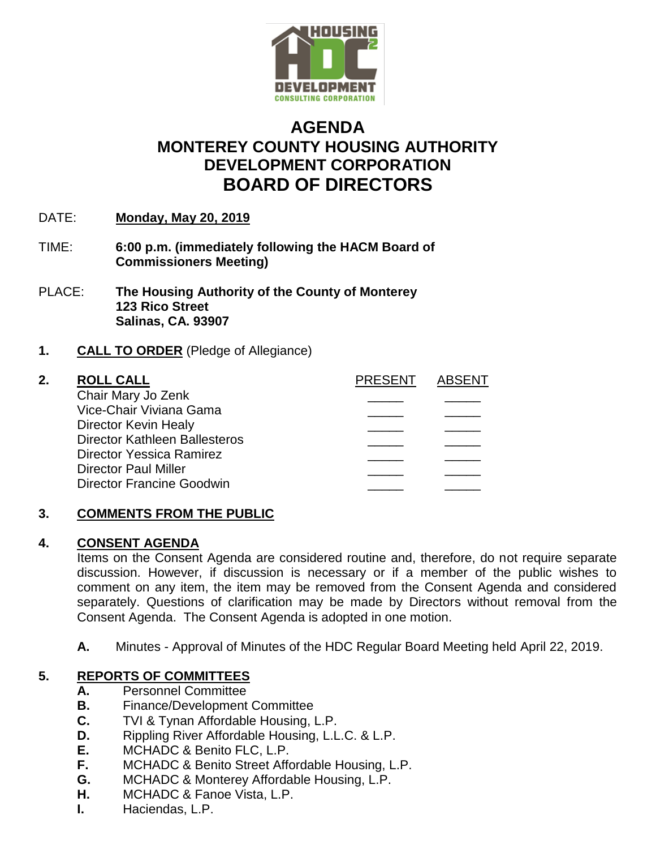

# **AGENDA MONTEREY COUNTY HOUSING AUTHORITY DEVELOPMENT CORPORATION BOARD OF DIRECTORS**

- DATE: **Monday, May 20, 2019**
- TIME: **6:00 p.m. (immediately following the HACM Board of Commissioners Meeting)**
- PLACE: **The Housing Authority of the County of Monterey 123 Rico Street Salinas, CA. 93907**

## **1. CALL TO ORDER** (Pledge of Allegiance)

| 2. | <b>ROLL CALL</b>                     | <b>PRESENT</b> | <b>ABSENT</b> |
|----|--------------------------------------|----------------|---------------|
|    | Chair Mary Jo Zenk                   |                |               |
|    | Vice-Chair Viviana Gama              |                |               |
|    | Director Kevin Healy                 |                |               |
|    | <b>Director Kathleen Ballesteros</b> |                |               |
|    | Director Yessica Ramirez             |                |               |
|    | <b>Director Paul Miller</b>          |                |               |
|    | <b>Director Francine Goodwin</b>     |                |               |
|    |                                      |                |               |

# **3. COMMENTS FROM THE PUBLIC**

#### **4. CONSENT AGENDA**

Items on the Consent Agenda are considered routine and, therefore, do not require separate discussion. However, if discussion is necessary or if a member of the public wishes to comment on any item, the item may be removed from the Consent Agenda and considered separately. Questions of clarification may be made by Directors without removal from the Consent Agenda. The Consent Agenda is adopted in one motion.

**A.** Minutes - Approval of Minutes of the HDC Regular Board Meeting held April 22, 2019.

# **5. REPORTS OF COMMITTEES**

- **A.** Personnel Committee
- **B.** Finance/Development Committee
- **C.** TVI & Tynan Affordable Housing, L.P.
- **D.** Rippling River Affordable Housing, L.L.C. & L.P.
- **E.** MCHADC & Benito FLC, L.P.
- **F.** MCHADC & Benito Street Affordable Housing, L.P.
- **G.** MCHADC & Monterey Affordable Housing, L.P.
- **H.** MCHADC & Fanoe Vista, L.P.
- **I.** Haciendas, L.P.